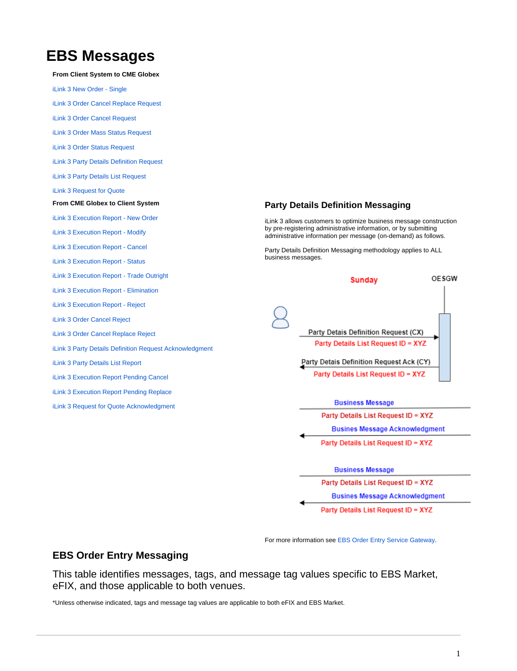## **EBS Messages**

**From Client System to CME Globex**

[iLink 3 New Order - Single](https://www.cmegroup.com/confluence/display/EPICSANDBOX/iLink+3+New+Order+-+Single) [iLink 3 Order Cancel Replace Request](https://www.cmegroup.com/confluence/display/EPICSANDBOX/iLink+3+Order+Cancel+Replace+Request) [iLink 3 Order Cancel Request](https://www.cmegroup.com/confluence/display/EPICSANDBOX/iLink+3+Order+Cancel+Request) [iLink 3 Order Mass Status Request](https://www.cmegroup.com/confluence/display/EPICSANDBOX/iLink+3+Order+Mass+Status+Request) [iLink 3 Order Status Request](https://www.cmegroup.com/confluence/display/EPICSANDBOX/iLink+3+Order+Status+Request) [iLink 3 Party Details Definition Request](https://www.cmegroup.com/confluence/display/EPICSANDBOX/iLink+3+Party+Details+Definition+Request) [iLink 3 Party Details List Request](https://www.cmegroup.com/confluence/display/EPICSANDBOX/iLink+3+Party+Details+List+Request) [iLink 3 Request for Quote](https://www.cmegroup.com/confluence/display/EPICSANDBOX/iLink+3+Request+for+Quote) **From CME Globex to Client System Party Details Definition Messaging** [iLink 3 Execution Report - New Order](https://www.cmegroup.com/confluence/display/EPICSANDBOX/iLink+3+Execution+Report+-+New+Order) iLink 3 allows customers to optimize business message construction by pre-registering administrative information, or by submitting [iLink 3 Execution Report - Modify](https://www.cmegroup.com/confluence/display/EPICSANDBOX/iLink+3+Execution+Report+-+Modify) administrative information per message (on-demand) as follows. [iLink 3 Execution Report - Cancel](https://www.cmegroup.com/confluence/display/EPICSANDBOX/iLink+3+Execution+Report+-+Cancel) Party Details Definition Messaging methodology applies to ALL business messages. [iLink 3 Execution Report - Status](https://www.cmegroup.com/confluence/display/EPICSANDBOX/iLink+3+Execution+Report+-+Status) [iLink 3 Execution Report - Trade Outright](https://www.cmegroup.com/confluence/display/EPICSANDBOX/iLink+3+Execution+Report+-+Trade+Outright) **OESGW Sunday** [iLink 3 Execution Report - Elimination](https://www.cmegroup.com/confluence/display/EPICSANDBOX/iLink+3+Execution+Report+-+Elimination) [iLink 3 Execution Report - Reject](https://www.cmegroup.com/confluence/display/EPICSANDBOX/iLink+3+Execution+Report+-+Reject) [iLink 3 Order Cancel Reject](https://www.cmegroup.com/confluence/display/EPICSANDBOX/iLink+3+Order+Cancel+Reject) Party Detais Definition Request (CX) [iLink 3 Order Cancel Replace Reject](https://www.cmegroup.com/confluence/display/EPICSANDBOX/iLink+3+Order+Cancel+Replace+Reject) Party Details List Request ID = XYZ [iLink 3 Party Details Definition Request Acknowledgment](https://www.cmegroup.com/confluence/display/EPICSANDBOX/iLink+3+Party+Details+Definition+Request+Acknowledgment) Party Detais Definition Request Ack (CY) [iLink 3 Party Details List Report](https://www.cmegroup.com/confluence/display/EPICSANDBOX/iLink+3+Party+Details+List+Report) Party Details List Request ID = XYZ [iLink 3 Execution Report Pending Cancel](https://www.cmegroup.com/confluence/display/EPICSANDBOX/iLink+3+Execution+Report+Pending+Cancel) [iLink 3 Execution Report Pending Replace](https://www.cmegroup.com/confluence/display/EPICSANDBOX/iLink+3+Execution+Report+Pending+Replace) **Business Message** iLink 3 Request for Quote Acknowledgment Party Details List Request ID = XYZ **Busines Message Acknowledgment** 



Party Details List Request ID = XYZ

For more information see [EBS Order Entry Service Gateway.](https://www.cmegroup.com/confluence/display/EPICSANDBOX/EBS+Order+Entry+Service+Gateway)

## **EBS Order Entry Messaging**

This table identifies messages, tags, and message tag values specific to EBS Market, eFIX, and those applicable to both venues.

\*Unless otherwise indicated, tags and message tag values are applicable to both eFIX and EBS Market.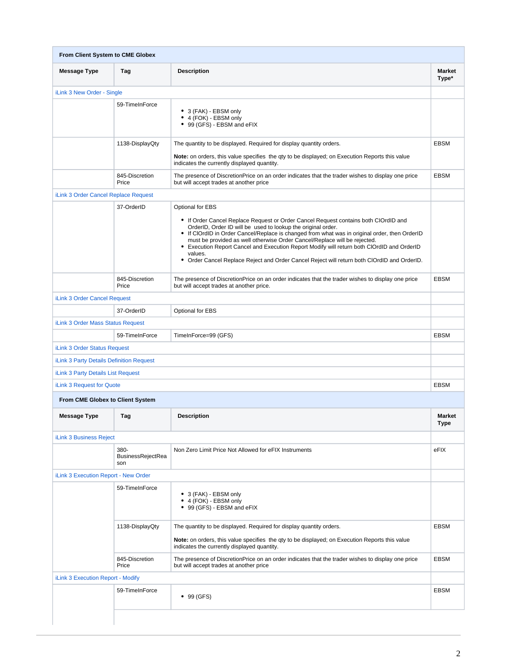|                                                                                                                       | From Client System to CME Globex        |                                                                                                                                                                                                                                                                                                                                                                                                                                                                                                                                                               |                        |  |  |  |
|-----------------------------------------------------------------------------------------------------------------------|-----------------------------------------|---------------------------------------------------------------------------------------------------------------------------------------------------------------------------------------------------------------------------------------------------------------------------------------------------------------------------------------------------------------------------------------------------------------------------------------------------------------------------------------------------------------------------------------------------------------|------------------------|--|--|--|
| <b>Message Type</b>                                                                                                   | Tag                                     | <b>Description</b>                                                                                                                                                                                                                                                                                                                                                                                                                                                                                                                                            | <b>Market</b><br>Type* |  |  |  |
| iLink 3 New Order - Single                                                                                            |                                         |                                                                                                                                                                                                                                                                                                                                                                                                                                                                                                                                                               |                        |  |  |  |
|                                                                                                                       | 59-TimeInForce                          | • 3 (FAK) - EBSM only<br>• 4 (FOK) - EBSM only<br>• 99 (GFS) - EBSM and eFIX                                                                                                                                                                                                                                                                                                                                                                                                                                                                                  |                        |  |  |  |
|                                                                                                                       | 1138-DisplayQty                         | The quantity to be displayed. Required for display quantity orders.<br>Note: on orders, this value specifies the qty to be displayed; on Execution Reports this value<br>indicates the currently displayed quantity.                                                                                                                                                                                                                                                                                                                                          | <b>EBSM</b>            |  |  |  |
|                                                                                                                       | 845-Discretion<br>Price                 | The presence of DiscretionPrice on an order indicates that the trader wishes to display one price<br>but will accept trades at another price                                                                                                                                                                                                                                                                                                                                                                                                                  | <b>EBSM</b>            |  |  |  |
| iLink 3 Order Cancel Replace Request                                                                                  |                                         |                                                                                                                                                                                                                                                                                                                                                                                                                                                                                                                                                               |                        |  |  |  |
|                                                                                                                       | 37-OrderID                              | Optional for EBS<br>• If Order Cancel Replace Request or Order Cancel Request contains both CIOrdID and<br>OrderID, Order ID will be used to lookup the original order.<br>• If ClOrdID in Order Cancel/Replace is changed from what was in original order, then OrderID<br>must be provided as well otherwise Order Cancel/Replace will be rejected.<br>• Execution Report Cancel and Execution Report Modify will return both ClOrdID and OrderID<br>values.<br>• Order Cancel Replace Reject and Order Cancel Reject will return both ClOrdID and OrderID. |                        |  |  |  |
|                                                                                                                       | 845-Discretion<br>Price                 | The presence of DiscretionPrice on an order indicates that the trader wishes to display one price<br>but will accept trades at another price.                                                                                                                                                                                                                                                                                                                                                                                                                 | <b>EBSM</b>            |  |  |  |
| iLink 3 Order Cancel Request                                                                                          |                                         |                                                                                                                                                                                                                                                                                                                                                                                                                                                                                                                                                               |                        |  |  |  |
|                                                                                                                       | 37-OrderID                              | Optional for EBS                                                                                                                                                                                                                                                                                                                                                                                                                                                                                                                                              |                        |  |  |  |
| iLink 3 Order Mass Status Request                                                                                     |                                         |                                                                                                                                                                                                                                                                                                                                                                                                                                                                                                                                                               |                        |  |  |  |
|                                                                                                                       |                                         |                                                                                                                                                                                                                                                                                                                                                                                                                                                                                                                                                               |                        |  |  |  |
|                                                                                                                       | 59-TimeInForce                          | TimeInForce=99 (GFS)                                                                                                                                                                                                                                                                                                                                                                                                                                                                                                                                          | <b>EBSM</b>            |  |  |  |
|                                                                                                                       |                                         |                                                                                                                                                                                                                                                                                                                                                                                                                                                                                                                                                               |                        |  |  |  |
|                                                                                                                       |                                         |                                                                                                                                                                                                                                                                                                                                                                                                                                                                                                                                                               |                        |  |  |  |
| iLink 3 Order Status Request<br><b>iLink 3 Party Details Definition Request</b><br>iLink 3 Party Details List Request |                                         |                                                                                                                                                                                                                                                                                                                                                                                                                                                                                                                                                               |                        |  |  |  |
|                                                                                                                       |                                         |                                                                                                                                                                                                                                                                                                                                                                                                                                                                                                                                                               | <b>EBSM</b>            |  |  |  |
| From CME Globex to Client System                                                                                      |                                         |                                                                                                                                                                                                                                                                                                                                                                                                                                                                                                                                                               |                        |  |  |  |
| <b>Message Type</b>                                                                                                   | Tag                                     | <b>Description</b>                                                                                                                                                                                                                                                                                                                                                                                                                                                                                                                                            | <b>Market</b><br>Type  |  |  |  |
| iLink 3 Request for Quote<br><b>iLink 3 Business Reject</b>                                                           |                                         |                                                                                                                                                                                                                                                                                                                                                                                                                                                                                                                                                               |                        |  |  |  |
|                                                                                                                       | 380-<br><b>BusinessRejectRea</b><br>son | Non Zero Limit Price Not Allowed for eFIX Instruments                                                                                                                                                                                                                                                                                                                                                                                                                                                                                                         | eFIX                   |  |  |  |
| iLink 3 Execution Report - New Order                                                                                  |                                         |                                                                                                                                                                                                                                                                                                                                                                                                                                                                                                                                                               |                        |  |  |  |
|                                                                                                                       | 59-TimeInForce                          | • 3 (FAK) - EBSM only<br>• 4 (FOK) - EBSM only<br>• 99 (GFS) - EBSM and eFIX                                                                                                                                                                                                                                                                                                                                                                                                                                                                                  |                        |  |  |  |
|                                                                                                                       | 1138-DisplayQty                         | The quantity to be displayed. Required for display quantity orders.<br>Note: on orders, this value specifies the qty to be displayed; on Execution Reports this value<br>indicates the currently displayed quantity.                                                                                                                                                                                                                                                                                                                                          | <b>EBSM</b>            |  |  |  |
|                                                                                                                       | 845-Discretion<br>Price                 | The presence of DiscretionPrice on an order indicates that the trader wishes to display one price<br>but will accept trades at another price                                                                                                                                                                                                                                                                                                                                                                                                                  | <b>EBSM</b>            |  |  |  |
| iLink 3 Execution Report - Modify                                                                                     |                                         |                                                                                                                                                                                                                                                                                                                                                                                                                                                                                                                                                               |                        |  |  |  |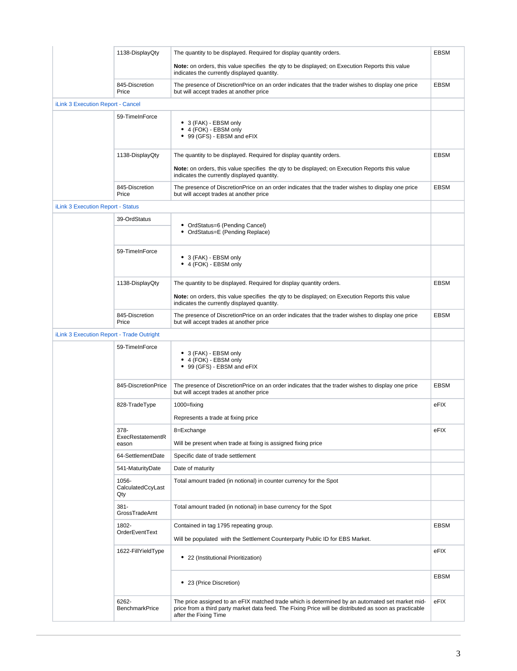|                                           | 1138-DisplayQty                   | The quantity to be displayed. Required for display quantity orders.                                                                                                                                                                | <b>EBSM</b> |
|-------------------------------------------|-----------------------------------|------------------------------------------------------------------------------------------------------------------------------------------------------------------------------------------------------------------------------------|-------------|
|                                           |                                   | <b>Note:</b> on orders, this value specifies the gty to be displayed; on Execution Reports this value<br>indicates the currently displayed quantity.                                                                               |             |
|                                           | 845-Discretion<br>Price           | The presence of DiscretionPrice on an order indicates that the trader wishes to display one price<br>but will accept trades at another price                                                                                       | <b>EBSM</b> |
| iLink 3 Execution Report - Cancel         |                                   |                                                                                                                                                                                                                                    |             |
|                                           | 59-TimeInForce                    | • 3 (FAK) - EBSM only<br>• 4 (FOK) - EBSM only<br>• 99 (GFS) - EBSM and eFIX                                                                                                                                                       |             |
|                                           | 1138-DisplayQty                   | The quantity to be displayed. Required for display quantity orders.                                                                                                                                                                | <b>EBSM</b> |
|                                           |                                   | Note: on orders, this value specifies the gty to be displayed; on Execution Reports this value<br>indicates the currently displayed quantity.                                                                                      |             |
|                                           | 845-Discretion<br>Price           | The presence of DiscretionPrice on an order indicates that the trader wishes to display one price<br>but will accept trades at another price                                                                                       | <b>EBSM</b> |
| <b>iLink 3 Execution Report - Status</b>  |                                   |                                                                                                                                                                                                                                    |             |
|                                           | 39-OrdStatus                      | • OrdStatus=6 (Pending Cancel)<br>• OrdStatus=E (Pending Replace)                                                                                                                                                                  |             |
|                                           | 59-TimeInForce                    | • 3 (FAK) - EBSM only<br>• 4 (FOK) - EBSM only                                                                                                                                                                                     |             |
|                                           | 1138-DisplayQty                   | The quantity to be displayed. Required for display quantity orders.<br>Note: on orders, this value specifies the qty to be displayed; on Execution Reports this value<br>indicates the currently displayed quantity.               | <b>EBSM</b> |
|                                           | 845-Discretion<br>Price           | The presence of DiscretionPrice on an order indicates that the trader wishes to display one price<br>but will accept trades at another price                                                                                       | <b>EBSM</b> |
| iLink 3 Execution Report - Trade Outright |                                   |                                                                                                                                                                                                                                    |             |
|                                           | 59-TimeInForce                    | • 3 (FAK) - EBSM only<br>• 4 (FOK) - EBSM only<br>• 99 (GFS) - EBSM and eFIX                                                                                                                                                       |             |
|                                           | 845-DiscretionPrice               | The presence of DiscretionPrice on an order indicates that the trader wishes to display one price<br>but will accept trades at another price                                                                                       | <b>EBSM</b> |
|                                           | 828-TradeType                     | 1000=fixing<br>Represents a trade at fixing price                                                                                                                                                                                  | eFIX        |
|                                           | 378-<br>ExecRestatementR<br>eason | 8=Exchange<br>Will be present when trade at fixing is assigned fixing price                                                                                                                                                        | eFIX        |
|                                           | 64-SettlementDate                 | Specific date of trade settlement                                                                                                                                                                                                  |             |
|                                           | 541-MaturityDate                  | Date of maturity                                                                                                                                                                                                                   |             |
|                                           | 1056-<br>CalculatedCcyLast<br>Qty | Total amount traded (in notional) in counter currency for the Spot                                                                                                                                                                 |             |
|                                           | $381 -$<br>GrossTradeAmt          | Total amount traded (in notional) in base currency for the Spot                                                                                                                                                                    |             |
|                                           | 1802-<br>OrderEventText           | Contained in tag 1795 repeating group.<br>Will be populated with the Settlement Counterparty Public ID for EBS Market.                                                                                                             | <b>EBSM</b> |
|                                           | 1622-FillYieldType                | 22 (Institutional Prioritization)                                                                                                                                                                                                  | eFIX        |
|                                           |                                   | • 23 (Price Discretion)                                                                                                                                                                                                            | <b>EBSM</b> |
|                                           | 6262-<br><b>BenchmarkPrice</b>    | The price assigned to an eFIX matched trade which is determined by an automated set market mid-<br>price from a third party market data feed. The Fixing Price will be distributed as soon as practicable<br>after the Fixing Time | eFIX        |
|                                           |                                   |                                                                                                                                                                                                                                    |             |